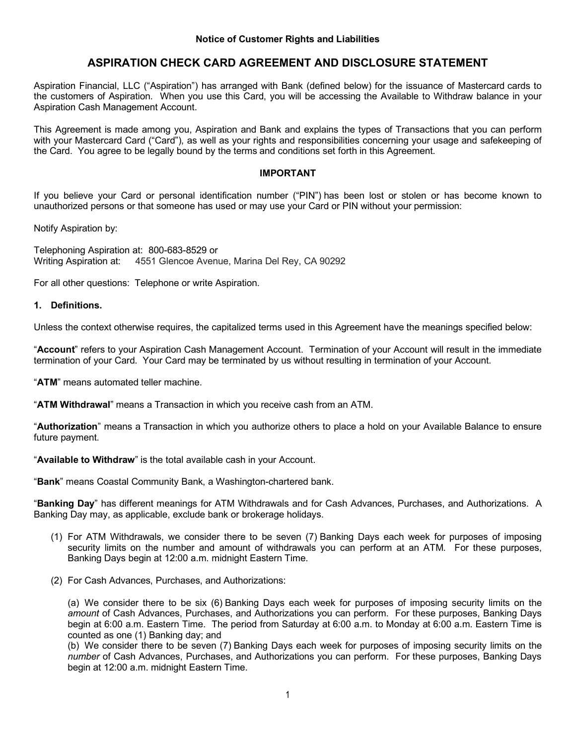# **ASPIRATION CHECK CARD AGREEMENT AND DISCLOSURE STATEMENT**

Aspiration Financial, LLC ("Aspiration") has arranged with Bank (defined below) for the issuance of Mastercard cards to the customers of Aspiration. When you use this Card, you will be accessing the Available to Withdraw balance in your Aspiration Cash Management Account.

This Agreement is made among you, Aspiration and Bank and explains the types of Transactions that you can perform with your Mastercard Card ("Card"), as well as your rights and responsibilities concerning your usage and safekeeping of the Card. You agree to be legally bound by the terms and conditions set forth in this Agreement.

### **IMPORTANT**

If you believe your Card or personal identification number ("PIN") has been lost or stolen or has become known to unauthorized persons or that someone has used or may use your Card or PIN without your permission:

Notify Aspiration by:

Telephoning Aspiration at: 800-683-8529 or Writing Aspiration at: 4551 Glencoe Avenue, Marina Del Rey, CA 90292

For all other questions: Telephone or write Aspiration.

### **1. Definitions.**

Unless the context otherwise requires, the capitalized terms used in this Agreement have the meanings specified below:

"**Account**" refers to your Aspiration Cash Management Account. Termination of your Account will result in the immediate termination of your Card. Your Card may be terminated by us without resulting in termination of your Account.

"**ATM**" means automated teller machine.

"**ATM Withdrawal**" means a Transaction in which you receive cash from an ATM.

"**Authorization**" means a Transaction in which you authorize others to place a hold on your Available Balance to ensure future payment.

"**Available to Withdraw**" is the total available cash in your Account.

"**Bank**" means Coastal Community Bank, a Washington-chartered bank.

"**Banking Day**" has different meanings for ATM Withdrawals and for Cash Advances, Purchases, and Authorizations. A Banking Day may, as applicable, exclude bank or brokerage holidays.

- (1) For ATM Withdrawals, we consider there to be seven (7) Banking Days each week for purposes of imposing security limits on the number and amount of withdrawals you can perform at an ATM. For these purposes, Banking Days begin at 12:00 a.m. midnight Eastern Time.
- (2) For Cash Advances, Purchases, and Authorizations:

(a) We consider there to be six (6) Banking Days each week for purposes of imposing security limits on the *amount* of Cash Advances, Purchases, and Authorizations you can perform. For these purposes, Banking Days begin at 6:00 a.m. Eastern Time. The period from Saturday at 6:00 a.m. to Monday at 6:00 a.m. Eastern Time is counted as one (1) Banking day; and

(b) We consider there to be seven (7) Banking Days each week for purposes of imposing security limits on the *number* of Cash Advances, Purchases, and Authorizations you can perform. For these purposes, Banking Days begin at 12:00 a.m. midnight Eastern Time.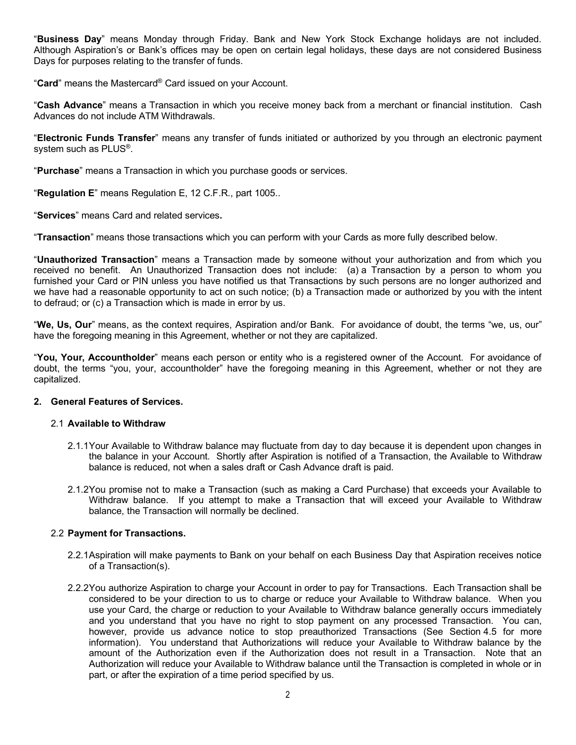"**Business Day**" means Monday through Friday. Bank and New York Stock Exchange holidays are not included. Although Aspiration's or Bank's offices may be open on certain legal holidays, these days are not considered Business Days for purposes relating to the transfer of funds.

"**Card**" means the Mastercard® Card issued on your Account.

"**Cash Advance**" means a Transaction in which you receive money back from a merchant or financial institution. Cash Advances do not include ATM Withdrawals.

"**Electronic Funds Transfer**" means any transfer of funds initiated or authorized by you through an electronic payment system such as PLUS®.

"**Purchase**" means a Transaction in which you purchase goods or services.

"**Regulation E**" means Regulation E, 12 C.F.R., part 1005..

"**Services**" means Card and related services**.**

"**Transaction**" means those transactions which you can perform with your Cards as more fully described below.

"**Unauthorized Transaction**" means a Transaction made by someone without your authorization and from which you received no benefit. An Unauthorized Transaction does not include: (a) a Transaction by a person to whom you furnished your Card or PIN unless you have notified us that Transactions by such persons are no longer authorized and we have had a reasonable opportunity to act on such notice; (b) a Transaction made or authorized by you with the intent to defraud; or (c) a Transaction which is made in error by us.

"**We, Us, Our**" means, as the context requires, Aspiration and/or Bank. For avoidance of doubt, the terms "we, us, our" have the foregoing meaning in this Agreement, whether or not they are capitalized.

"**You, Your, Accountholder**" means each person or entity who is a registered owner of the Account. For avoidance of doubt, the terms "you, your, accountholder" have the foregoing meaning in this Agreement, whether or not they are capitalized.

#### **2. General Features of Services.**

#### 2.1 **Available to Withdraw**

- 2.1.1Your Available to Withdraw balance may fluctuate from day to day because it is dependent upon changes in the balance in your Account. Shortly after Aspiration is notified of a Transaction, the Available to Withdraw balance is reduced, not when a sales draft or Cash Advance draft is paid.
- 2.1.2You promise not to make a Transaction (such as making a Card Purchase) that exceeds your Available to Withdraw balance. If you attempt to make a Transaction that will exceed your Available to Withdraw balance, the Transaction will normally be declined.

#### 2.2 **Payment for Transactions.**

- 2.2.1Aspiration will make payments to Bank on your behalf on each Business Day that Aspiration receives notice of a Transaction(s).
- 2.2.2You authorize Aspiration to charge your Account in order to pay for Transactions. Each Transaction shall be considered to be your direction to us to charge or reduce your Available to Withdraw balance. When you use your Card, the charge or reduction to your Available to Withdraw balance generally occurs immediately and you understand that you have no right to stop payment on any processed Transaction. You can, however, provide us advance notice to stop preauthorized Transactions (See Section 4.5 for more information). You understand that Authorizations will reduce your Available to Withdraw balance by the amount of the Authorization even if the Authorization does not result in a Transaction. Note that an Authorization will reduce your Available to Withdraw balance until the Transaction is completed in whole or in part, or after the expiration of a time period specified by us.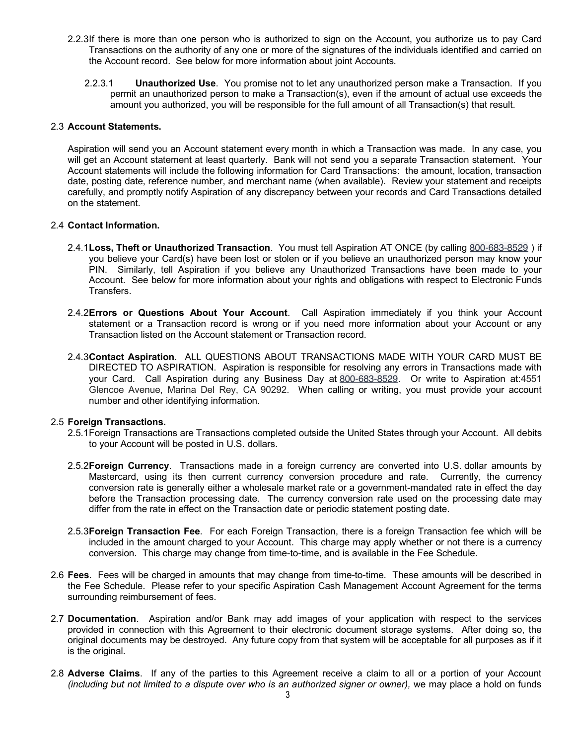- 2.2.3If there is more than one person who is authorized to sign on the Account, you authorize us to pay Card Transactions on the authority of any one or more of the signatures of the individuals identified and carried on the Account record. See below for more information about joint Accounts.
	- 2.2.3.1 **Unauthorized Use**. You promise not to let any unauthorized person make a Transaction. If you permit an unauthorized person to make a Transaction(s), even if the amount of actual use exceeds the amount you authorized, you will be responsible for the full amount of all Transaction(s) that result.

### 2.3 **Account Statements.**

Aspiration will send you an Account statement every month in which a Transaction was made. In any case, you will get an Account statement at least quarterly. Bank will not send you a separate Transaction statement. Your Account statements will include the following information for Card Transactions: the amount, location, transaction date, posting date, reference number, and merchant name (when available). Review your statement and receipts carefully, and promptly notify Aspiration of any discrepancy between your records and Card Transactions detailed on the statement.

### 2.4 **Contact Information.**

- 2.4.1**Loss, Theft or Unauthorized Transaction**. You must tell Aspiration AT ONCE (by calling 800-683-8529 ) if you believe your Card(s) have been lost or stolen or if you believe an unauthorized person may know your PIN. Similarly, tell Aspiration if you believe any Unauthorized Transactions have been made to your Account. See below for more information about your rights and obligations with respect to Electronic Funds Transfers.
- 2.4.2**Errors or Questions About Your Account**. Call Aspiration immediately if you think your Account statement or a Transaction record is wrong or if you need more information about your Account or any Transaction listed on the Account statement or Transaction record.
- 2.4.3**Contact Aspiration**. ALL QUESTIONS ABOUT TRANSACTIONS MADE WITH YOUR CARD MUST BE DIRECTED TO ASPIRATION. Aspiration is responsible for resolving any errors in Transactions made with your Card. Call Aspiration during any Business Day at 800-683-8529. Or write to Aspiration at:4551 Glencoe Avenue, Marina Del Rey, CA 90292. When calling or writing, you must provide your account number and other identifying information.

#### 2.5 **Foreign Transactions.**

- 2.5.1Foreign Transactions are Transactions completed outside the United States through your Account. All debits to your Account will be posted in U.S. dollars.
- 2.5.2**Foreign Currency**. Transactions made in a foreign currency are converted into U.S. dollar amounts by Mastercard, using its then current currency conversion procedure and rate. Currently, the currency conversion rate is generally either a wholesale market rate or a government-mandated rate in effect the day before the Transaction processing date. The currency conversion rate used on the processing date may differ from the rate in effect on the Transaction date or periodic statement posting date.
- 2.5.3**Foreign Transaction Fee**. For each Foreign Transaction, there is a foreign Transaction fee which will be included in the amount charged to your Account. This charge may apply whether or not there is a currency conversion. This charge may change from time-to-time, and is available in the Fee Schedule.
- 2.6 **Fees**. Fees will be charged in amounts that may change from time-to-time. These amounts will be described in the Fee Schedule. Please refer to your specific Aspiration Cash Management Account Agreement for the terms surrounding reimbursement of fees.
- 2.7 **Documentation**. Aspiration and/or Bank may add images of your application with respect to the services provided in connection with this Agreement to their electronic document storage systems. After doing so, the original documents may be destroyed. Any future copy from that system will be acceptable for all purposes as if it is the original.
- 2.8 **Adverse Claims**. If any of the parties to this Agreement receive a claim to all or a portion of your Account *(including but not limited to a dispute over who is an authorized signer or owner), we may place a hold on funds*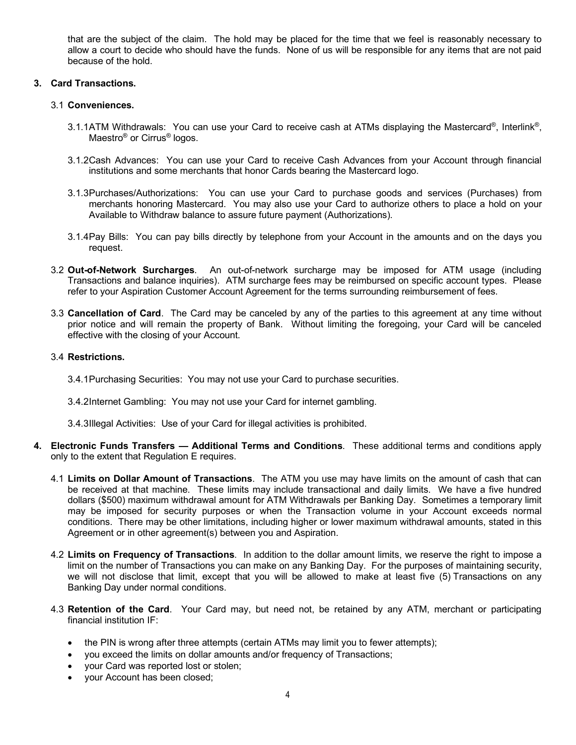that are the subject of the claim. The hold may be placed for the time that we feel is reasonably necessary to allow a court to decide who should have the funds. None of us will be responsible for any items that are not paid because of the hold.

### **3. Card Transactions.**

### 3.1 **Conveniences.**

- 3.1.1ATM Withdrawals: You can use your Card to receive cash at ATMs displaying the Mastercard®, Interlink®, Maestro® or Cirrus® logos.
- 3.1.2Cash Advances: You can use your Card to receive Cash Advances from your Account through financial institutions and some merchants that honor Cards bearing the Mastercard logo.
- 3.1.3Purchases/Authorizations: You can use your Card to purchase goods and services (Purchases) from merchants honoring Mastercard. You may also use your Card to authorize others to place a hold on your Available to Withdraw balance to assure future payment (Authorizations).
- 3.1.4Pay Bills: You can pay bills directly by telephone from your Account in the amounts and on the days you request.
- 3.2 **Out-of-Network Surcharges**. An out-of-network surcharge may be imposed for ATM usage (including Transactions and balance inquiries). ATM surcharge fees may be reimbursed on specific account types. Please refer to your Aspiration Customer Account Agreement for the terms surrounding reimbursement of fees.
- 3.3 **Cancellation of Card**. The Card may be canceled by any of the parties to this agreement at any time without prior notice and will remain the property of Bank. Without limiting the foregoing, your Card will be canceled effective with the closing of your Account.

### 3.4 **Restrictions.**

3.4.1Purchasing Securities: You may not use your Card to purchase securities.

- 3.4.2Internet Gambling: You may not use your Card for internet gambling.
- 3.4.3Illegal Activities: Use of your Card for illegal activities is prohibited.
- **4. Electronic Funds Transfers — Additional Terms and Condit**i**ons**. These additional terms and conditions apply only to the extent that Regulation E requires.
	- 4.1 **Limits on Dollar Amount of Transactions**. The ATM you use may have limits on the amount of cash that can be received at that machine. These limits may include transactional and daily limits. We have a five hundred dollars (\$500) maximum withdrawal amount for ATM Withdrawals per Banking Day. Sometimes a temporary limit may be imposed for security purposes or when the Transaction volume in your Account exceeds normal conditions. There may be other limitations, including higher or lower maximum withdrawal amounts, stated in this Agreement or in other agreement(s) between you and Aspiration.
	- 4.2 **Limits on Frequency of Transactions**. In addition to the dollar amount limits, we reserve the right to impose a limit on the number of Transactions you can make on any Banking Day. For the purposes of maintaining security, we will not disclose that limit, except that you will be allowed to make at least five (5) Transactions on any Banking Day under normal conditions.
	- 4.3 **Retention of the Card**. Your Card may, but need not, be retained by any ATM, merchant or participating financial institution IF:
		- the PIN is wrong after three attempts (certain ATMs may limit you to fewer attempts);
		- you exceed the limits on dollar amounts and/or frequency of Transactions;
		- your Card was reported lost or stolen;
		- your Account has been closed;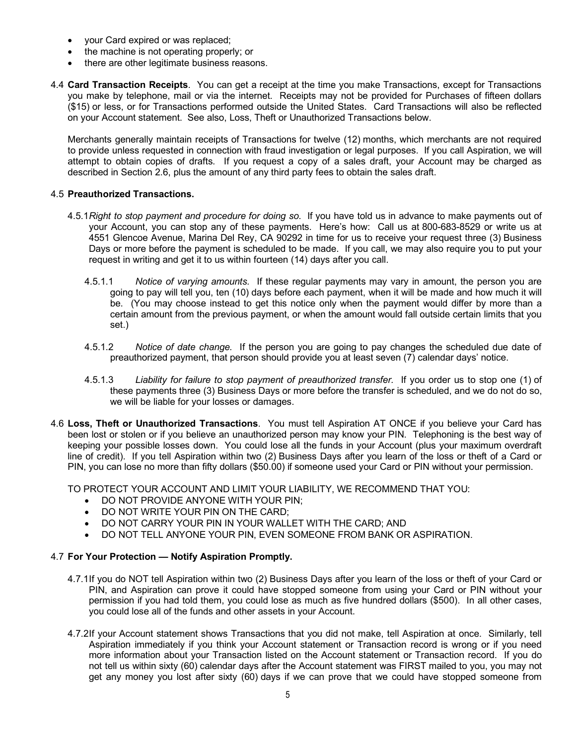- your Card expired or was replaced;
- the machine is not operating properly; or
- there are other legitimate business reasons.
- 4.4 **Card Transaction Receipts**. You can get a receipt at the time you make Transactions, except for Transactions you make by telephone, mail or via the internet. Receipts may not be provided for Purchases of fifteen dollars (\$15) or less, or for Transactions performed outside the United States. Card Transactions will also be reflected on your Account statement. See also, Loss, Theft or Unauthorized Transactions below.

Merchants generally maintain receipts of Transactions for twelve (12) months, which merchants are not required to provide unless requested in connection with fraud investigation or legal purposes. If you call Aspiration, we will attempt to obtain copies of drafts. If you request a copy of a sales draft, your Account may be charged as described in Section 2.6, plus the amount of any third party fees to obtain the sales draft.

### 4.5 **Preauthorized Transactions.**

- 4.5.1*Right to stop payment and procedure for doing so.* If you have told us in advance to make payments out of your Account, you can stop any of these payments. Here's how: Call us at 800-683-8529 or write us at 4551 Glencoe Avenue, Marina Del Rey, CA 90292 in time for us to receive your request three (3) Business Days or more before the payment is scheduled to be made. If you call, we may also require you to put your request in writing and get it to us within fourteen (14) days after you call.
	- 4.5.1.1 *Notice of varying amounts.* If these regular payments may vary in amount, the person you are going to pay will tell you, ten (10) days before each payment, when it will be made and how much it will be. (You may choose instead to get this notice only when the payment would differ by more than a certain amount from the previous payment, or when the amount would fall outside certain limits that you set.)
	- 4.5.1.2 *Notice of date change.* If the person you are going to pay changes the scheduled due date of preauthorized payment, that person should provide you at least seven (7) calendar days' notice.
	- 4.5.1.3 *Liability for failure to stop payment of preauthorized transfer.* If you order us to stop one (1) of these payments three (3) Business Days or more before the transfer is scheduled, and we do not do so, we will be liable for your losses or damages.
- 4.6 **Loss, Theft or Unauthorized Transactions**. You must tell Aspiration AT ONCE if you believe your Card has been lost or stolen or if you believe an unauthorized person may know your PIN. Telephoning is the best way of keeping your possible losses down. You could lose all the funds in your Account (plus your maximum overdraft line of credit). If you tell Aspiration within two (2) Business Days after you learn of the loss or theft of a Card or PIN, you can lose no more than fifty dollars (\$50.00) if someone used your Card or PIN without your permission.

TO PROTECT YOUR ACCOUNT AND LIMIT YOUR LIABILITY, WE RECOMMEND THAT YOU:

- DO NOT PROVIDE ANYONE WITH YOUR PIN;
- DO NOT WRITE YOUR PIN ON THE CARD;
- DO NOT CARRY YOUR PIN IN YOUR WALLET WITH THE CARD; AND
- DO NOT TELL ANYONE YOUR PIN, EVEN SOMEONE FROM BANK OR ASPIRATION.

#### 4.7 **For Your Protection — Notify Aspiration Promptly.**

- 4.7.1If you do NOT tell Aspiration within two (2) Business Days after you learn of the loss or theft of your Card or PIN, and Aspiration can prove it could have stopped someone from using your Card or PIN without your permission if you had told them, you could lose as much as five hundred dollars (\$500). In all other cases, you could lose all of the funds and other assets in your Account.
- 4.7.2If your Account statement shows Transactions that you did not make, tell Aspiration at once. Similarly, tell Aspiration immediately if you think your Account statement or Transaction record is wrong or if you need more information about your Transaction listed on the Account statement or Transaction record. If you do not tell us within sixty (60) calendar days after the Account statement was FIRST mailed to you, you may not get any money you lost after sixty (60) days if we can prove that we could have stopped someone from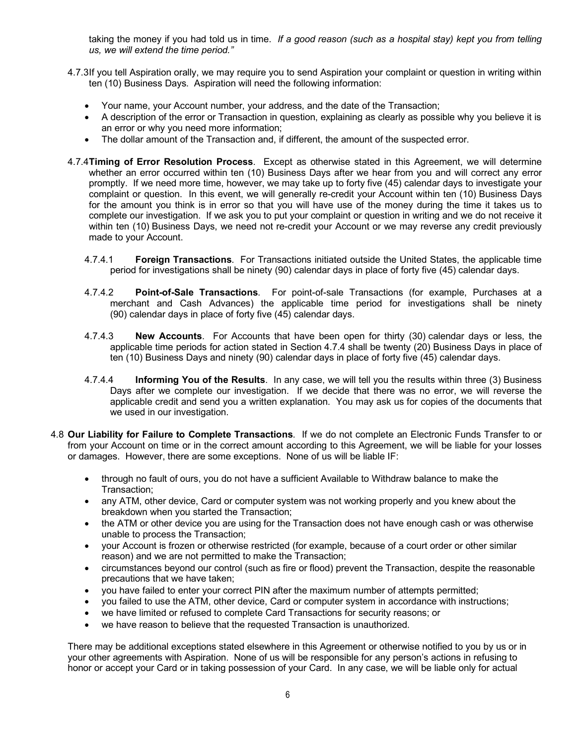taking the money if you had told us in time. *If a good reason (such as a hospital stay) kept you from telling us, we will extend the time period."*

- 4.7.3If you tell Aspiration orally, we may require you to send Aspiration your complaint or question in writing within ten (10) Business Days. Aspiration will need the following information:
	- Your name, your Account number, your address, and the date of the Transaction;
	- A description of the error or Transaction in question, explaining as clearly as possible why you believe it is an error or why you need more information;
	- The dollar amount of the Transaction and, if different, the amount of the suspected error.
- 4.7.4**Timing of Error Resolution Process**. Except as otherwise stated in this Agreement, we will determine whether an error occurred within ten (10) Business Days after we hear from you and will correct any error promptly. If we need more time, however, we may take up to forty five (45) calendar days to investigate your complaint or question. In this event, we will generally re-credit your Account within ten (10) Business Days for the amount you think is in error so that you will have use of the money during the time it takes us to complete our investigation. If we ask you to put your complaint or question in writing and we do not receive it within ten (10) Business Days, we need not re-credit your Account or we may reverse any credit previously made to your Account.
	- 4.7.4.1 **Foreign Transactions**. For Transactions initiated outside the United States, the applicable time period for investigations shall be ninety (90) calendar days in place of forty five (45) calendar days.
	- 4.7.4.2 **Point-of-Sale Transactions**. For point-of-sale Transactions (for example, Purchases at a merchant and Cash Advances) the applicable time period for investigations shall be ninety (90) calendar days in place of forty five (45) calendar days.
	- 4.7.4.3 **New Accounts**. For Accounts that have been open for thirty (30) calendar days or less, the applicable time periods for action stated in Section 4.7.4 shall be twenty (20) Business Days in place of ten (10) Business Days and ninety (90) calendar days in place of forty five (45) calendar days.
	- 4.7.4.4 **Informing You of the Results**. In any case, we will tell you the results within three (3) Business Days after we complete our investigation. If we decide that there was no error, we will reverse the applicable credit and send you a written explanation. You may ask us for copies of the documents that we used in our investigation.
- 4.8 **Our Liability for Failure to Complete Transactions**. If we do not complete an Electronic Funds Transfer to or from your Account on time or in the correct amount according to this Agreement, we will be liable for your losses or damages. However, there are some exceptions. None of us will be liable IF:
	- through no fault of ours, you do not have a sufficient Available to Withdraw balance to make the Transaction;
	- any ATM, other device, Card or computer system was not working properly and you knew about the breakdown when you started the Transaction;
	- the ATM or other device you are using for the Transaction does not have enough cash or was otherwise unable to process the Transaction;
	- your Account is frozen or otherwise restricted (for example, because of a court order or other similar reason) and we are not permitted to make the Transaction;
	- circumstances beyond our control (such as fire or flood) prevent the Transaction, despite the reasonable precautions that we have taken;
	- you have failed to enter your correct PIN after the maximum number of attempts permitted;
	- you failed to use the ATM, other device, Card or computer system in accordance with instructions;
	- we have limited or refused to complete Card Transactions for security reasons; or
	- we have reason to believe that the requested Transaction is unauthorized.

There may be additional exceptions stated elsewhere in this Agreement or otherwise notified to you by us or in your other agreements with Aspiration. None of us will be responsible for any person's actions in refusing to honor or accept your Card or in taking possession of your Card. In any case, we will be liable only for actual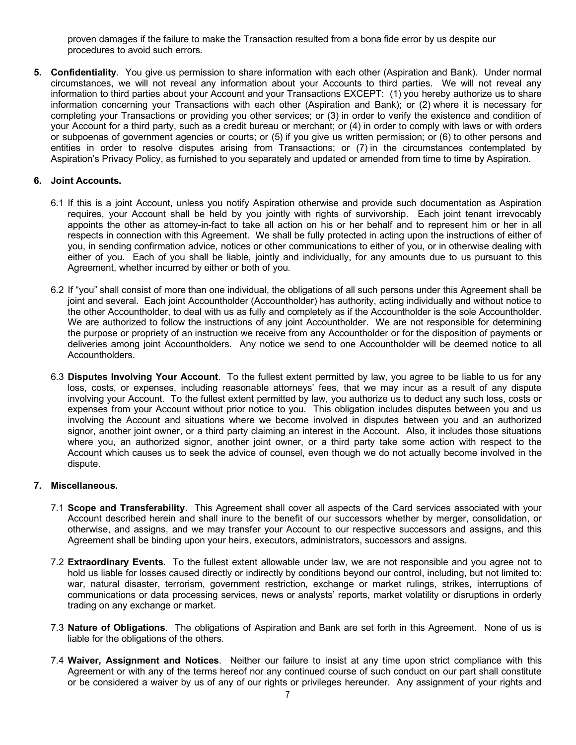proven damages if the failure to make the Transaction resulted from a bona fide error by us despite our procedures to avoid such errors.

**5. Confidentiality**. You give us permission to share information with each other (Aspiration and Bank). Under normal circumstances, we will not reveal any information about your Accounts to third parties. We will not reveal any information to third parties about your Account and your Transactions EXCEPT: (1) you hereby authorize us to share information concerning your Transactions with each other (Aspiration and Bank); or (2) where it is necessary for completing your Transactions or providing you other services; or (3) in order to verify the existence and condition of your Account for a third party, such as a credit bureau or merchant; or (4) in order to comply with laws or with orders or subpoenas of government agencies or courts; or (5) if you give us written permission; or (6) to other persons and entities in order to resolve disputes arising from Transactions; or (7) in the circumstances contemplated by Aspiration's Privacy Policy, as furnished to you separately and updated or amended from time to time by Aspiration.

### **6. Joint Accounts.**

- 6.1 If this is a joint Account, unless you notify Aspiration otherwise and provide such documentation as Aspiration requires, your Account shall be held by you jointly with rights of survivorship. Each joint tenant irrevocably appoints the other as attorney-in-fact to take all action on his or her behalf and to represent him or her in all respects in connection with this Agreement. We shall be fully protected in acting upon the instructions of either of you, in sending confirmation advice, notices or other communications to either of you, or in otherwise dealing with either of you. Each of you shall be liable, jointly and individually, for any amounts due to us pursuant to this Agreement, whether incurred by either or both of you.
- 6.2 If "you" shall consist of more than one individual, the obligations of all such persons under this Agreement shall be joint and several. Each joint Accountholder (Accountholder) has authority, acting individually and without notice to the other Accountholder, to deal with us as fully and completely as if the Accountholder is the sole Accountholder. We are authorized to follow the instructions of any joint Accountholder. We are not responsible for determining the purpose or propriety of an instruction we receive from any Accountholder or for the disposition of payments or deliveries among joint Accountholders. Any notice we send to one Accountholder will be deemed notice to all Accountholders.
- 6.3 **Disputes Involving Your Account**. To the fullest extent permitted by law, you agree to be liable to us for any loss, costs, or expenses, including reasonable attorneys' fees, that we may incur as a result of any dispute involving your Account. To the fullest extent permitted by law, you authorize us to deduct any such loss, costs or expenses from your Account without prior notice to you. This obligation includes disputes between you and us involving the Account and situations where we become involved in disputes between you and an authorized signor, another joint owner, or a third party claiming an interest in the Account. Also, it includes those situations where you, an authorized signor, another joint owner, or a third party take some action with respect to the Account which causes us to seek the advice of counsel, even though we do not actually become involved in the dispute.

#### **7. Miscellaneous.**

- 7.1 **Scope and Transferability**. This Agreement shall cover all aspects of the Card services associated with your Account described herein and shall inure to the benefit of our successors whether by merger, consolidation, or otherwise, and assigns, and we may transfer your Account to our respective successors and assigns, and this Agreement shall be binding upon your heirs, executors, administrators, successors and assigns.
- 7.2 **Extraordinary Events**. To the fullest extent allowable under law, we are not responsible and you agree not to hold us liable for losses caused directly or indirectly by conditions beyond our control, including, but not limited to: war, natural disaster, terrorism, government restriction, exchange or market rulings, strikes, interruptions of communications or data processing services, news or analysts' reports, market volatility or disruptions in orderly trading on any exchange or market.
- 7.3 **Nature of Obligations**. The obligations of Aspiration and Bank are set forth in this Agreement. None of us is liable for the obligations of the others.
- 7.4 **Waiver, Assignment and Notices**. Neither our failure to insist at any time upon strict compliance with this Agreement or with any of the terms hereof nor any continued course of such conduct on our part shall constitute or be considered a waiver by us of any of our rights or privileges hereunder. Any assignment of your rights and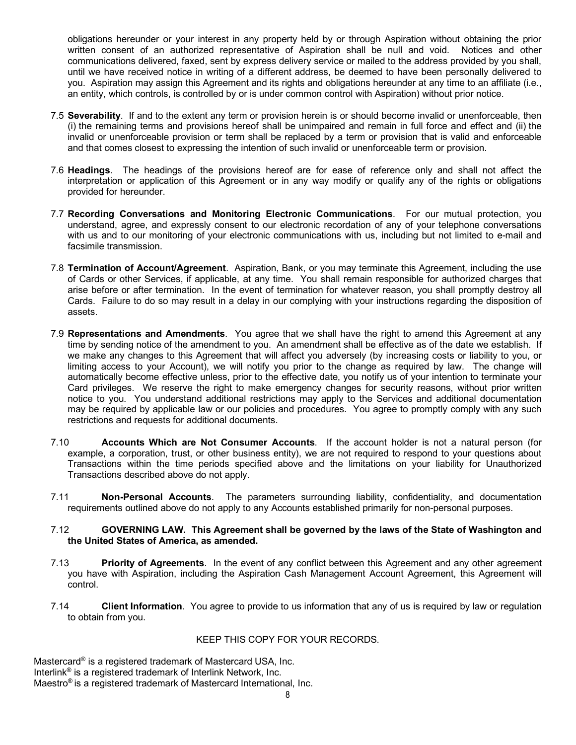obligations hereunder or your interest in any property held by or through Aspiration without obtaining the prior written consent of an authorized representative of Aspiration shall be null and void. Notices and other communications delivered, faxed, sent by express delivery service or mailed to the address provided by you shall, until we have received notice in writing of a different address, be deemed to have been personally delivered to you. Aspiration may assign this Agreement and its rights and obligations hereunder at any time to an affiliate (i.e., an entity, which controls, is controlled by or is under common control with Aspiration) without prior notice.

- 7.5 **Severability**. If and to the extent any term or provision herein is or should become invalid or unenforceable, then (i) the remaining terms and provisions hereof shall be unimpaired and remain in full force and effect and (ii) the invalid or unenforceable provision or term shall be replaced by a term or provision that is valid and enforceable and that comes closest to expressing the intention of such invalid or unenforceable term or provision.
- 7.6 **Headings**. The headings of the provisions hereof are for ease of reference only and shall not affect the interpretation or application of this Agreement or in any way modify or qualify any of the rights or obligations provided for hereunder.
- 7.7 **Recording Conversations and Monitoring Electronic Communications**. For our mutual protection, you understand, agree, and expressly consent to our electronic recordation of any of your telephone conversations with us and to our monitoring of your electronic communications with us, including but not limited to e-mail and facsimile transmission.
- 7.8 **Termination of Account/Agreement**. Aspiration, Bank, or you may terminate this Agreement, including the use of Cards or other Services, if applicable, at any time. You shall remain responsible for authorized charges that arise before or after termination. In the event of termination for whatever reason, you shall promptly destroy all Cards. Failure to do so may result in a delay in our complying with your instructions regarding the disposition of assets.
- 7.9 **Representations and Amendments**. You agree that we shall have the right to amend this Agreement at any time by sending notice of the amendment to you. An amendment shall be effective as of the date we establish. If we make any changes to this Agreement that will affect you adversely (by increasing costs or liability to you, or limiting access to your Account), we will notify you prior to the change as required by law. The change will automatically become effective unless, prior to the effective date, you notify us of your intention to terminate your Card privileges. We reserve the right to make emergency changes for security reasons, without prior written notice to you. You understand additional restrictions may apply to the Services and additional documentation may be required by applicable law or our policies and procedures. You agree to promptly comply with any such restrictions and requests for additional documents.
- 7.10 **Accounts Which are Not Consumer Accounts**. If the account holder is not a natural person (for example, a corporation, trust, or other business entity), we are not required to respond to your questions about Transactions within the time periods specified above and the limitations on your liability for Unauthorized Transactions described above do not apply.
- 7.11 **Non-Personal Accounts**. The parameters surrounding liability, confidentiality, and documentation requirements outlined above do not apply to any Accounts established primarily for non-personal purposes.

#### 7.12 **GOVERNING LAW. This Agreement shall be governed by the laws of the State of Washington and the United States of America, as amended.**

- 7.13 **Priority of Agreements**. In the event of any conflict between this Agreement and any other agreement you have with Aspiration, including the Aspiration Cash Management Account Agreement, this Agreement will control.
- 7.14 **Client Information**. You agree to provide to us information that any of us is required by law or regulation to obtain from you.

## KEEP THIS COPY FOR YOUR RECORDS.

Mastercard® is a registered trademark of Mastercard USA, Inc. Interlink® is a registered trademark of Interlink Network, Inc. Maestro® is a registered trademark of Mastercard International, Inc.